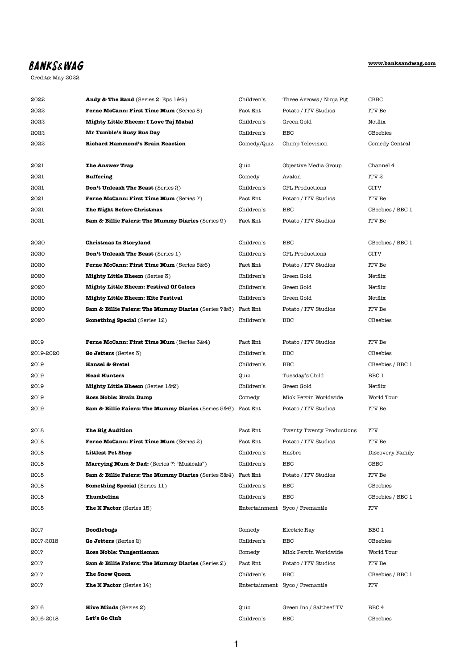## **[www.banksandwag.com](http://www.banksandwag.com)**

## **BANKS&WAG**

Credits: May 2022

| 2022      | <b>Andy &amp; The Band</b> (Series 2: Eps 1&9)                 | Children's    | Three Arrows / Ninja Pig         | CBBC             |
|-----------|----------------------------------------------------------------|---------------|----------------------------------|------------------|
| 2022      | <b>Ferne McCann: First Time Mum (Series 8)</b>                 | Fact Ent      | Potato / ITV Studios             | ITV Be           |
| 2022      | Mighty Little Bheem: I Love Taj Mahal                          | Children's    | Green Gold                       | Netflix          |
| 2022      | Mr Tumble's Busy Bus Day                                       | Children's    | <b>BBC</b>                       | CBeebies         |
| 2022      | <b>Richard Hammond's Brain Reaction</b>                        | Comedy/Quiz   | Chimp Television                 | Comedy Central   |
|           |                                                                |               |                                  |                  |
| 2021      | <b>The Answer Trap</b>                                         | Quiz          | Objective Media Group            | Channel 4        |
| 2021      | <b>Buffering</b>                                               | Comedy        | Avalon                           | <b>ITV 2</b>     |
| 2021      | <b>Don't Unleash The Beast (Series 2)</b>                      | Children's    | CPL Productions                  | CITV             |
| 2021      | <b>Ferne McCann: First Time Mum (Series 7)</b>                 | Fact Ent      | Potato / ITV Studios             | <b>ITV Be</b>    |
| 2021      | The Night Before Christmas                                     | Children's    | <b>BBC</b>                       | CBeebies / BBC 1 |
| 2021      | Sam & Billie Faiers: The Mummy Diaries (Series 9)              | Fact Ent      | Potato / ITV Studios             | ITV Be           |
|           |                                                                |               |                                  |                  |
| 2020      | <b>Christmas In Storyland</b>                                  | Children's    | <b>BBC</b>                       | CBeebies / BBC 1 |
| 2020      | <b>Don't Unleash The Beast (Series 1)</b>                      | Children's    | CPL Productions                  | CITV             |
| 2020      | Ferne McCann: First Time Mum (Series 5&6)                      | Fact Ent      | Potato / ITV Studios             | ITV Be           |
| 2020      | <b>Mighty Little Bheem</b> (Series 3)                          | Children's    | Green Gold                       | Netflix          |
| 2020      | <b>Mighty Little Bheem: Festival Of Colors</b>                 | Children's    | Green Gold                       | Netflix          |
| 2020      | <b>Mighty Little Bheem: Kite Festival</b>                      | Children's    | Green Gold                       | Netflix          |
| 2020      | <b>Sam &amp; Billie Faiers: The Mummy Diaries</b> (Series 7&8) | Fact Ent      | Potato / ITV Studios             | ITV Be           |
| 2020      | <b>Something Special</b> (Series 12)                           | Children's    | <b>BBC</b>                       | CBeebies         |
|           |                                                                |               |                                  |                  |
| 2019      | Ferne McCann: First Time Mum (Series 3&4)                      | Fact Ent      | Potato / ITV Studios             | <b>ITV Be</b>    |
| 2019-2020 | Go Jetters (Series 3)                                          | Children's    | <b>BBC</b>                       | <b>CBeebies</b>  |
| 2019      | <b>Hansel &amp; Gretel</b>                                     | Children's    | <b>BBC</b>                       | CBeebies / BBC 1 |
| 2019      | <b>Head Hunters</b>                                            | Quiz          | Tuesday's Child                  | BBC 1            |
| 2019      | <b>Mighty Little Bheem</b> (Series 1&2)                        | Children's    | Green Gold                       | Netflix          |
| 2019      | <b>Ross Noble: Brain Dump</b>                                  | Comedy        | Mick Perrin Worldwide            | World Tour       |
| 2019      | Sam & Billie Faiers: The Mummy Diaries (Series 5&6)            | Fact Ent      | Potato / ITV Studios             | <b>ITV</b> Be    |
|           |                                                                |               |                                  |                  |
| 2018      | The Big Audition                                               | Fact Ent      | <b>Twenty Twenty Productions</b> | <b>ITV</b>       |
| 2018      | <b>Ferne McCann: First Time Mum (Series 2)</b>                 | Fact Ent      | Potato / ITV Studios             | ITV Be           |
| 2018      | <b>Littlest Pet Shop</b>                                       | Children's    | Hasbro                           | Discovery Family |
| 2018      | <b>Marrying Mum &amp; Dad:</b> (Series 7: "Musicals")          | Children's    | <b>BBC</b>                       | CBBC             |
| 2018      | <b>Sam &amp; Billie Faiers: The Mummy Diaries</b> (Series 3&4) | Fact Ent      | Potato / ITV Studios             | ITV Be           |
| 2018      | <b>Something Special (Series 11)</b>                           | Children's    | <b>BBC</b>                       | <b>CBeebies</b>  |
| 2018      | Thumbelina                                                     | Children's    | <b>BBC</b>                       | CBeebies / BBC 1 |
| 2018      | <b>The X Factor</b> (Series 15)                                | Entertainment | Syco / Fremantle                 | <b>ITV</b>       |
|           |                                                                |               |                                  |                  |
| 2017      | Doodlebugs                                                     | Comedy        | Electric Ray                     | BBC 1            |
| 2017-2018 | <b>Go Jetters</b> (Series 2)                                   | Children's    | <b>BBC</b>                       | <b>CBeebies</b>  |
| 2017      | Ross Noble: Tangentleman                                       | Comedy        | Mick Perrin Worldwide            | World Tour       |
| 2017      | Sam & Billie Faiers: The Mummy Diaries (Series 2)              | Fact Ent      | Potato / ITV Studios             | <b>ITV Be</b>    |
| 2017      | <b>The Snow Queen</b>                                          | Children's    | <b>BBC</b>                       | CBeebies / BBC 1 |
| 2017      | <b>The X Factor</b> (Series 14)                                |               | Entertainment Syco / Fremantle   | ITV              |
|           |                                                                |               |                                  |                  |
| 2016      | <b>Hive Minds</b> (Series $2$ )                                | Quiz          | Green Inc / Saltbeef TV          | BBC <sub>4</sub> |
| 2016-2018 | Let's Go Club                                                  | Children's    | <b>BBC</b>                       | CBeebies         |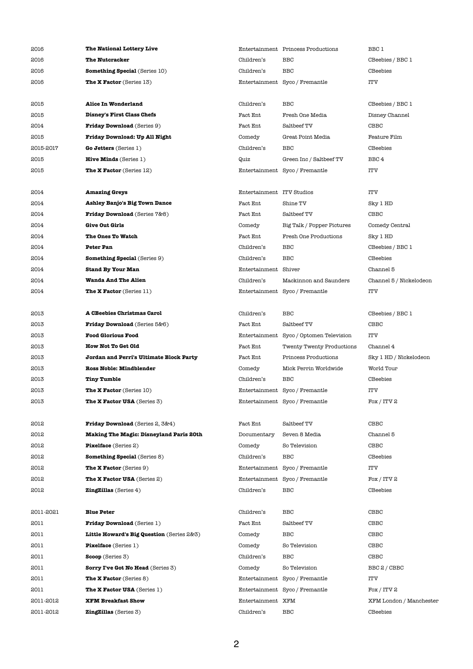| 2016      | The National Lottery Live                      |               | Entertainment Princess Productions | BBC 1                   |
|-----------|------------------------------------------------|---------------|------------------------------------|-------------------------|
| 2016      | <b>The Nutcracker</b>                          | Children's    | <b>BBC</b>                         | CBeebies / BBC 1        |
| 2016      | <b>Something Special (Series 10)</b>           | Children's    | <b>BBC</b>                         | CBeebies                |
| 2016      | <b>The X Factor</b> (Series 13)                | Entertainment | Syco / Fremantle                   | <b>ITV</b>              |
| 2015      | <b>Alice In Wonderland</b>                     | Children's    | <b>BBC</b>                         | CBeebies / BBC 1        |
| 2015      | <b>Disney's First Class Chefs</b>              | Fact Ent      | Fresh One Media                    | Disney Channel          |
| 2014      | <b>Friday Download</b> (Series 9)              | Fact Ent      | Saltbeef TV                        | CBBC                    |
| 2015      | Friday Download: Up All Night                  | Comedy        | Great Point Media                  | Feature Film            |
| 2015-2017 | Go Jetters (Series 1)                          | Children's    | <b>BBC</b>                         | CBeebies                |
| 2015      | <b>Hive Minds</b> (Series 1)                   | Quiz          | Green Inc / Saltbeef TV            | BBC <sub>4</sub>        |
| 2015      | <b>The X Factor</b> (Series 12)                | Entertainment | Syco / Fremantle                   | <b>ITV</b>              |
| 2014      | <b>Amazing Greys</b>                           | Entertainment | <b>ITV Studios</b>                 | <b>ITV</b>              |
| 2014      | <b>Ashley Banjo's Big Town Dance</b>           | Fact Ent      | Shine TV                           | Sky 1 HD                |
| 2014      | Friday Download (Series 7&8)                   | Fact Ent      | Saltbeef TV                        | CBBC                    |
| 2014      | <b>Give Out Girls</b>                          | Comedy        | Big Talk / Popper Pictures         | Comedy Central          |
| 2014      | The Ones To Watch                              | Fact Ent      | <b>Fresh One Productions</b>       | Sky 1 HD                |
| 2014      | <b>Peter Pan</b>                               | Children's    | <b>BBC</b>                         | CBeebies / BBC 1        |
| 2014      | <b>Something Special (Series 9)</b>            | Children's    | <b>BBC</b>                         | CBeebies                |
| 2014      | <b>Stand By Your Man</b>                       | Entertainment | Shiver                             | Channel 5               |
| 2014      | <b>Wanda And The Alien</b>                     | Children's    | Mackinnon and Saunders             | Channel 5 / Nickelodeon |
| 2014      | <b>The X Factor</b> (Series 11)                |               | Entertainment Syco / Fremantle     | <b>ITV</b>              |
| 2013      | A CBeebies Christmas Carol                     | Children's    | <b>BBC</b>                         | CBeebies / BBC 1        |
| 2013      | Friday Download (Series 5&6)                   | Fact Ent      | Saltbeef TV                        | CBBC                    |
| 2013      | <b>Food Glorious Food</b>                      | Entertainment | Syco / Optomen Television          | ITV                     |
| 2013      | How Not To Get Old                             | Fact Ent      | <b>Twenty Twenty Productions</b>   | Channel 4               |
| 2013      | Jordan and Perri's Ultimate Block Party        | Fact Ent      | Princess Productions               | Sky 1 HD / Nickelodeon  |
| 2013      | <b>Ross Noble: Mindblender</b>                 | Comedy        | Mick Perrin Worldwide              | World Tour              |
| 2013      | <b>Tiny Tumble</b>                             | Children's    | <b>BBC</b>                         | CBeebies                |
| 2013      | <b>The X Factor</b> (Series 10)                | Entertainment | Syco / Fremantle                   | ITV                     |
| 2013      | The X Factor USA (Series 3)                    | Entertainment | Syco / Fremantle                   | Fox / ITV 2             |
| 2012      | Friday Download (Series 2, 3&4)                | Fact Ent      | Saltbeef TV                        | CBBC                    |
| 2012      | <b>Making The Magic: Disneyland Paris 20th</b> | Documentary   | Seven 8 Media                      | Channel 5               |
| 2012      | <b>Pixelface</b> (Series 2)                    | Comedy        | So Television                      | CBBC                    |
| 2012      | <b>Something Special (Series 8)</b>            | Children's    | <b>BBC</b>                         | CBeebies                |
| 2012      | <b>The X Factor</b> (Series 9)                 | Entertainment | Syco / Fremantle                   | ITV                     |
| 2012      | <b>The X Factor USA</b> (Series 2)             | Entertainment | Syco / Fremantle                   | Fox / ITV 2             |
| 2012      | <b>ZingZillas</b> (Series 4)                   | Children's    | BBC                                | CBeebies                |

| 2011-2021 | <b>Blue Peter</b>                         | Children's        | <b>BBC</b>                     | <b>CBBC</b>             |
|-----------|-------------------------------------------|-------------------|--------------------------------|-------------------------|
| 2011      | <b>Friday Download</b> (Series 1)         | Fact Ent          | Saltbeef TV                    | CBBC                    |
| 2011      | Little Howard's Big Question (Series 2&3) | Comedy            | BBC                            | CBBC                    |
| 2011      | <b>Pixelface</b> (Series 1)               | Comedy            | So Television                  | CBBC                    |
| 2011      | <b>Scoop</b> (Series 3)                   | Children's        | BBC                            | CBBC                    |
| 2011      | <b>Sorry I've Got No Head</b> (Series 3)  | Comedy            | So Television                  | BBC 2 / CBBC            |
| 2011      | <b>The X Factor</b> (Series 8)            |                   | Entertainment Syco / Fremantle | <b>ITV</b>              |
| 2011      | <b>The X Factor USA</b> (Series 1)        |                   | Entertainment Syco / Fremantle | Fox / ITV 2             |
| 2011-2012 | <b>XFM Breakfast Show</b>                 | Entertainment XFM |                                | XFM London / Manchester |
| 2011-2012 | <b>ZingZillas</b> (Series 3)              | Children's        | <b>BBC</b>                     | <b>CBeebies</b>         |